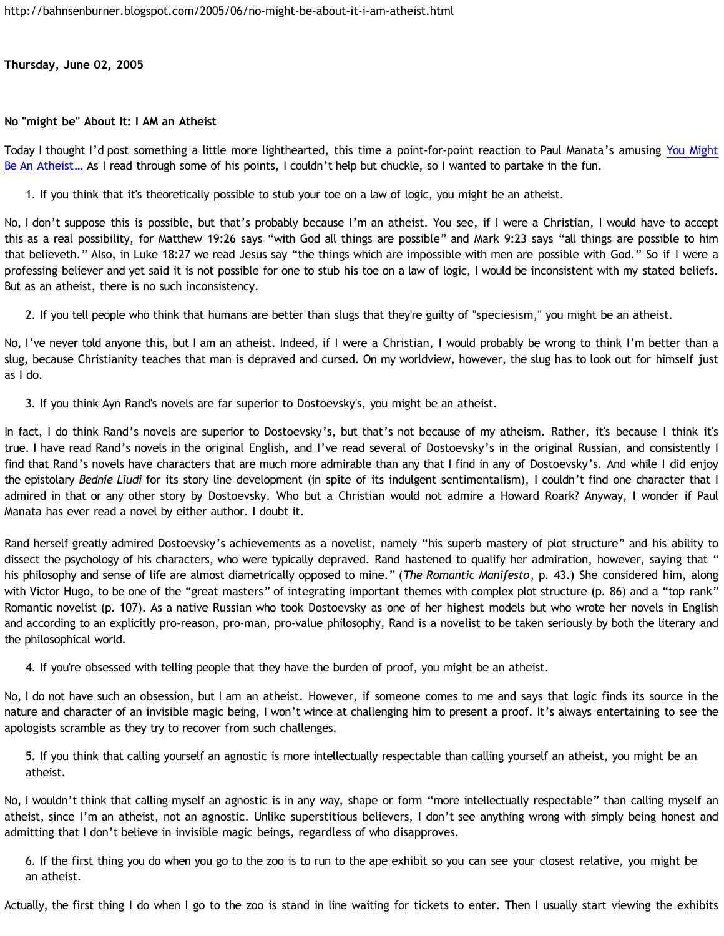**Thursday, June 02, 2005**

## **No "might be" About It: I AM an Atheist**

Today I thought I'd post something a little more lighthearted, this time a point-for-point reaction to Paul Manata's amusing [You Might](http://presstheantithesis.blogspot.com/2005/06/you-might-be-atheist.html) [Be An Atheist…](http://presstheantithesis.blogspot.com/2005/06/you-might-be-atheist.html) As I read through some of his points, I couldn't help but chuckle, so I wanted to partake in the fun.

1. If you think that it's theoretically possible to stub your toe on a law of logic, you might be an atheist.

No, I don't suppose this is possible, but that's probably because I'm an atheist. You see, if I were a Christian, I would have to accept this as a real possibility, for Matthew 19:26 says "with God all things are possible" and Mark 9:23 says "all things are possible to him that believeth." Also, in Luke 18:27 we read Jesus say "the things which are impossible with men are possible with God." So if I were a professing believer and yet said it is not possible for one to stub his toe on a law of logic, I would be inconsistent with my stated beliefs. But as an atheist, there is no such inconsistency.

2. If you tell people who think that humans are better than slugs that they're guilty of "speciesism," you might be an atheist.

No, I've never told anyone this, but I am an atheist. Indeed, if I were a Christian, I would probably be wrong to think I'm better than a slug, because Christianity teaches that man is depraved and cursed. On my worldview, however, the slug has to look out for himself just as I do.

3. If you think Ayn Rand's novels are far superior to Dostoevsky's, you might be an atheist.

In fact, I do think Rand's novels are superior to Dostoevsky's, but that's not because of my atheism. Rather, it's because I think it's true. I have read Rand's novels in the original English, and I've read several of Dostoevsky's in the original Russian, and consistently I find that Rand's novels have characters that are much more admirable than any that I find in any of Dostoevsky's. And while I did enjoy the epistolary *Bednie Liudi* for its story line development (in spite of its indulgent sentimentalism), I couldn't find one character that I admired in that or any other story by Dostoevsky. Who but a Christian would not admire a Howard Roark? Anyway, I wonder if Paul Manata has ever read a novel by either author. I doubt it.

Rand herself greatly admired Dostoevsky's achievements as a novelist, namely "his superb mastery of plot structure" and his ability to dissect the psychology of his characters, who were typically depraved. Rand hastened to qualify her admiration, however, saying that " his philosophy and sense of life are almost diametrically opposed to mine." (*The Romantic Manifesto*, p. 43.) She considered him, along with Victor Hugo, to be one of the "great masters" of integrating important themes with complex plot structure (p. 86) and a "top rank" Romantic novelist (p. 107). As a native Russian who took Dostoevsky as one of her highest models but who wrote her novels in English and according to an explicitly pro-reason, pro-man, pro-value philosophy, Rand is a novelist to be taken seriously by both the literary and the philosophical world.

4. If you're obsessed with telling people that they have the burden of proof, you might be an atheist.

No, I do not have such an obsession, but I am an atheist. However, if someone comes to me and says that logic finds its source in the nature and character of an invisible magic being, I won't wince at challenging him to present a proof. It's always entertaining to see the apologists scramble as they try to recover from such challenges.

5. If you think that calling yourself an agnostic is more intellectually respectable than calling yourself an atheist, you might be an atheist.

No, I wouldn't think that calling myself an agnostic is in any way, shape or form "more intellectually respectable" than calling myself an atheist, since I'm an atheist, not an agnostic. Unlike superstitious believers, I don't see anything wrong with simply being honest and admitting that I don't believe in invisible magic beings, regardless of who disapproves.

6. If the first thing you do when you go to the zoo is to run to the ape exhibit so you can see your closest relative, you might be an atheist.

Actually, the first thing I do when I go to the zoo is stand in line waiting for tickets to enter. Then I usually start viewing the exhibits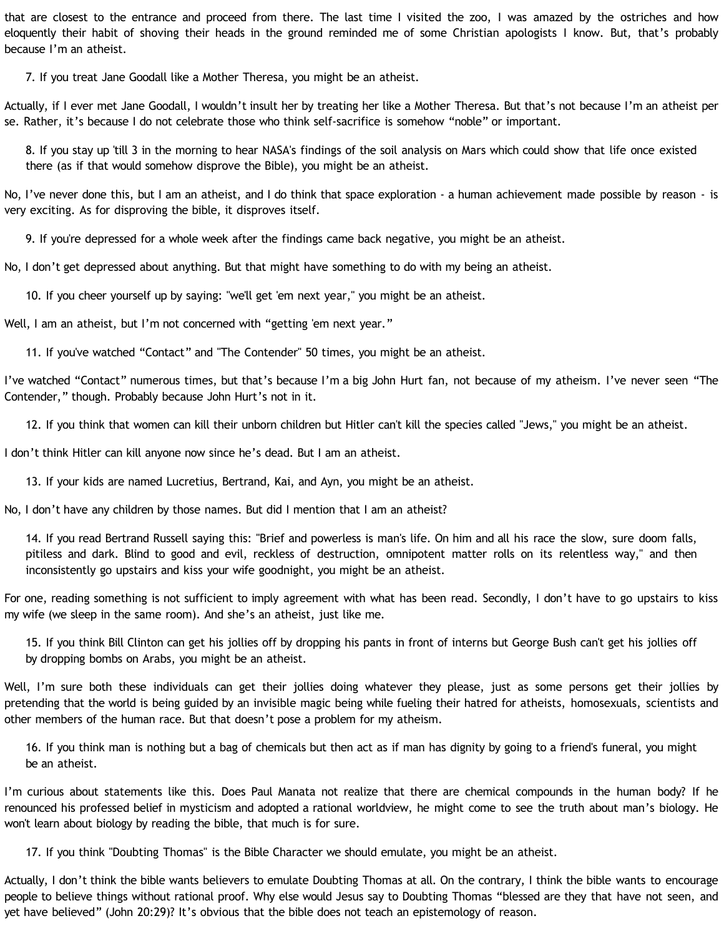that are closest to the entrance and proceed from there. The last time I visited the zoo, I was amazed by the ostriches and how eloquently their habit of shoving their heads in the ground reminded me of some Christian apologists I know. But, that's probably because I'm an atheist.

7. If you treat Jane Goodall like a Mother Theresa, you might be an atheist.

Actually, if I ever met Jane Goodall, I wouldn't insult her by treating her like a Mother Theresa. But that's not because I'm an atheist per se. Rather, it's because I do not celebrate those who think self-sacrifice is somehow "noble" or important.

8. If you stay up 'till 3 in the morning to hear NASA's findings of the soil analysis on Mars which could show that life once existed there (as if that would somehow disprove the Bible), you might be an atheist.

No, I've never done this, but I am an atheist, and I do think that space exploration - a human achievement made possible by reason - is very exciting. As for disproving the bible, it disproves itself.

9. If you're depressed for a whole week after the findings came back negative, you might be an atheist.

No, I don't get depressed about anything. But that might have something to do with my being an atheist.

10. If you cheer yourself up by saying: "we'll get 'em next year," you might be an atheist.

Well, I am an atheist, but I'm not concerned with "getting 'em next year."

11. If you've watched "Contact" and "The Contender" 50 times, you might be an atheist.

I've watched "Contact" numerous times, but that's because I'm a big John Hurt fan, not because of my atheism. I've never seen "The Contender," though. Probably because John Hurt's not in it.

12. If you think that women can kill their unborn children but Hitler can't kill the species called "Jews," you might be an atheist.

I don't think Hitler can kill anyone now since he's dead. But I am an atheist.

13. If your kids are named Lucretius, Bertrand, Kai, and Ayn, you might be an atheist.

No, I don't have any children by those names. But did I mention that I am an atheist?

14. If you read Bertrand Russell saying this: "Brief and powerless is man's life. On him and all his race the slow, sure doom falls, pitiless and dark. Blind to good and evil, reckless of destruction, omnipotent matter rolls on its relentless way," and then inconsistently go upstairs and kiss your wife goodnight, you might be an atheist.

For one, reading something is not sufficient to imply agreement with what has been read. Secondly, I don't have to go upstairs to kiss my wife (we sleep in the same room). And she's an atheist, just like me.

15. If you think Bill Clinton can get his jollies off by dropping his pants in front of interns but George Bush can't get his jollies off by dropping bombs on Arabs, you might be an atheist.

Well, I'm sure both these individuals can get their jollies doing whatever they please, just as some persons get their jollies by pretending that the world is being guided by an invisible magic being while fueling their hatred for atheists, homosexuals, scientists and other members of the human race. But that doesn't pose a problem for my atheism.

16. If you think man is nothing but a bag of chemicals but then act as if man has dignity by going to a friend's funeral, you might be an atheist.

I'm curious about statements like this. Does Paul Manata not realize that there are chemical compounds in the human body? If he renounced his professed belief in mysticism and adopted a rational worldview, he might come to see the truth about man's biology. He won't learn about biology by reading the bible, that much is for sure.

17. If you think "Doubting Thomas" is the Bible Character we should emulate, you might be an atheist.

Actually, I don't think the bible wants believers to emulate Doubting Thomas at all. On the contrary, I think the bible wants to encourage people to believe things without rational proof. Why else would Jesus say to Doubting Thomas "blessed are they that have not seen, and yet have believed" (John 20:29)? It's obvious that the bible does not teach an epistemology of reason.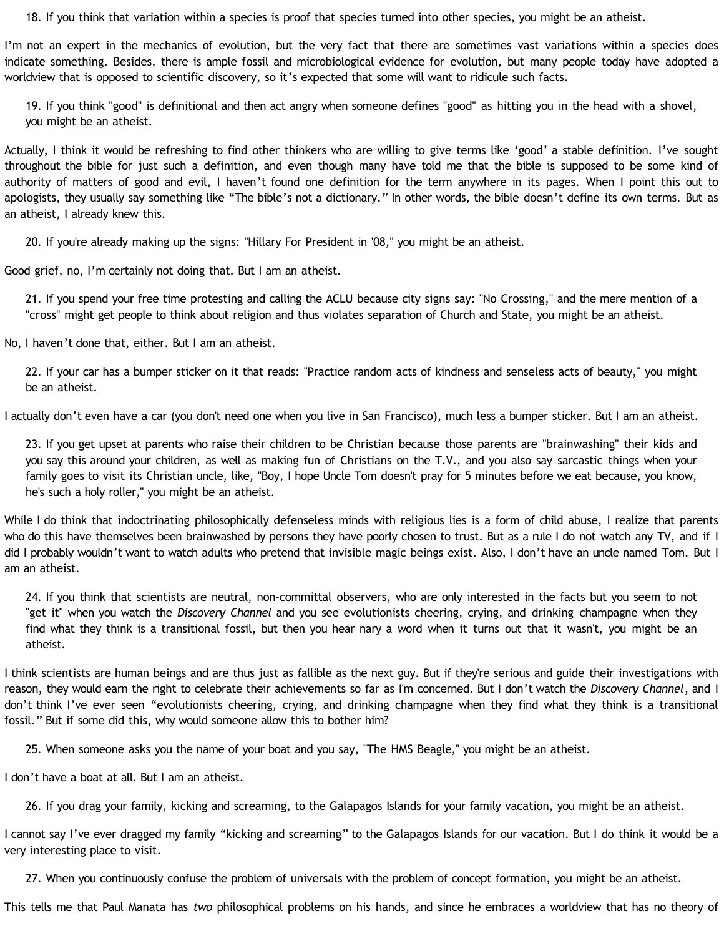18. If you think that variation within a species is proof that species turned into other species, you might be an atheist.

I'm not an expert in the mechanics of evolution, but the very fact that there are sometimes vast variations within a species does indicate something. Besides, there is ample fossil and microbiological evidence for evolution, but many people today have adopted a worldview that is opposed to scientific discovery, so it's expected that some will want to ridicule such facts.

19. If you think "good" is definitional and then act angry when someone defines "good" as hitting you in the head with a shovel, you might be an atheist.

Actually, I think it would be refreshing to find other thinkers who are willing to give terms like 'good' a stable definition. I've sought throughout the bible for just such a definition, and even though many have told me that the bible is supposed to be some kind of authority of matters of good and evil, I haven't found one definition for the term anywhere in its pages. When I point this out to apologists, they usually say something like "The bible's not a dictionary." In other words, the bible doesn't define its own terms. But as an atheist, I already knew this.

20. If you're already making up the signs: "Hillary For President in '08," you might be an atheist.

Good grief, no, I'm certainly not doing that. But I am an atheist.

21. If you spend your free time protesting and calling the ACLU because city signs say: "No Crossing," and the mere mention of a "cross" might get people to think about religion and thus violates separation of Church and State, you might be an atheist.

No, I haven't done that, either. But I am an atheist.

22. If your car has a bumper sticker on it that reads: "Practice random acts of kindness and senseless acts of beauty," you might be an atheist.

I actually don't even have a car (you don't need one when you live in San Francisco), much less a bumper sticker. But I am an atheist.

23. If you get upset at parents who raise their children to be Christian because those parents are "brainwashing" their kids and you say this around your children, as well as making fun of Christians on the T.V., and you also say sarcastic things when your family goes to visit its Christian uncle, like, "Boy, I hope Uncle Tom doesn't pray for 5 minutes before we eat because, you know, he's such a holy roller," you might be an atheist.

While I do think that indoctrinating philosophically defenseless minds with religious lies is a form of child abuse, I realize that parents who do this have themselves been brainwashed by persons they have poorly chosen to trust. But as a rule I do not watch any TV, and if I did I probably wouldn't want to watch adults who pretend that invisible magic beings exist. Also, I don't have an uncle named Tom. But I am an atheist.

24. If you think that scientists are neutral, non-committal observers, who are only interested in the facts but you seem to not "get it" when you watch the *Discovery Channel* and you see evolutionists cheering, crying, and drinking champagne when they find what they think is a transitional fossil, but then you hear nary a word when it turns out that it wasn't, you might be an atheist.

I think scientists are human beings and are thus just as fallible as the next guy. But if they're serious and guide their investigations with reason, they would earn the right to celebrate their achievements so far as I'm concerned. But I don't watch the *Discovery Channel*, and I don't think I've ever seen "evolutionists cheering, crying, and drinking champagne when they find what they think is a transitional fossil." But if some did this, why would someone allow this to bother him?

25. When someone asks you the name of your boat and you say, "The HMS Beagle," you might be an atheist.

I don't have a boat at all. But I am an atheist.

26. If you drag your family, kicking and screaming, to the Galapagos Islands for your family vacation, you might be an atheist.

I cannot say I've ever dragged my family "kicking and screaming" to the Galapagos Islands for our vacation. But I do think it would be a very interesting place to visit.

27. When you continuously confuse the problem of universals with the problem of concept formation, you might be an atheist.

This tells me that Paul Manata has *two* philosophical problems on his hands, and since he embraces a worldview that has no theory of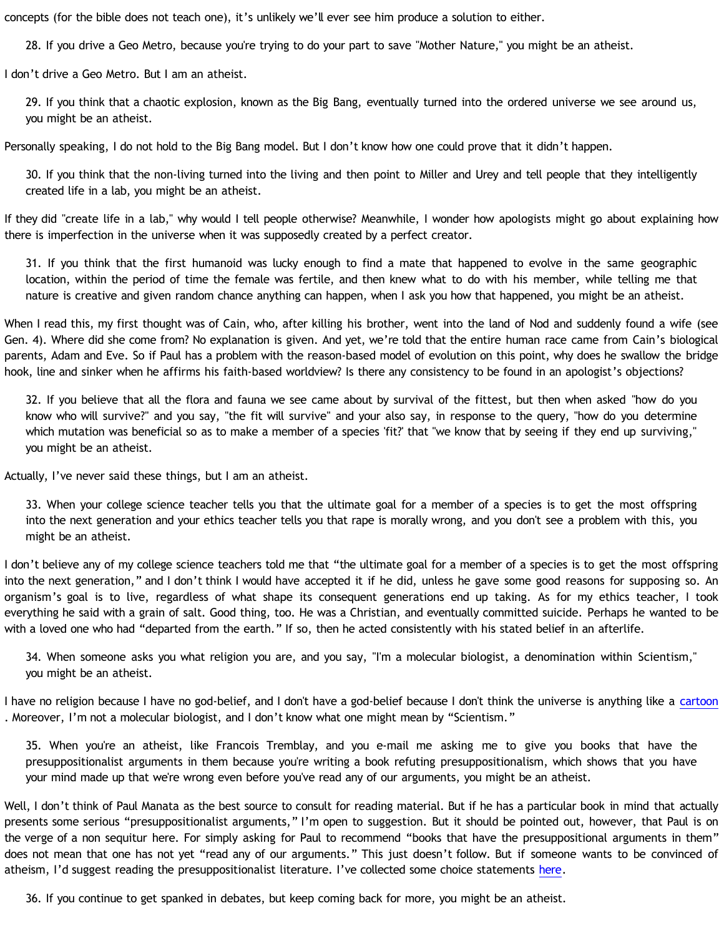concepts (for the bible does not teach one), it's unlikely we'll ever see him produce a solution to either.

28. If you drive a Geo Metro, because you're trying to do your part to save "Mother Nature," you might be an atheist.

I don't drive a Geo Metro. But I am an atheist.

29. If you think that a chaotic explosion, known as the Big Bang, eventually turned into the ordered universe we see around us, you might be an atheist.

Personally speaking, I do not hold to the Big Bang model. But I don't know how one could prove that it didn't happen.

30. If you think that the non-living turned into the living and then point to Miller and Urey and tell people that they intelligently created life in a lab, you might be an atheist.

If they did "create life in a lab," why would I tell people otherwise? Meanwhile, I wonder how apologists might go about explaining how there is imperfection in the universe when it was supposedly created by a perfect creator.

31. If you think that the first humanoid was lucky enough to find a mate that happened to evolve in the same geographic location, within the period of time the female was fertile, and then knew what to do with his member, while telling me that nature is creative and given random chance anything can happen, when I ask you how that happened, you might be an atheist.

When I read this, my first thought was of Cain, who, after killing his brother, went into the land of Nod and suddenly found a wife (see Gen. 4). Where did she come from? No explanation is given. And yet, we're told that the entire human race came from Cain's biological parents, Adam and Eve. So if Paul has a problem with the reason-based model of evolution on this point, why does he swallow the bridge hook, line and sinker when he affirms his faith-based worldview? Is there any consistency to be found in an apologist's objections?

32. If you believe that all the flora and fauna we see came about by survival of the fittest, but then when asked "how do you know who will survive?" and you say, "the fit will survive" and your also say, in response to the query, "how do you determine which mutation was beneficial so as to make a member of a species 'fit?' that "we know that by seeing if they end up surviving," you might be an atheist.

Actually, I've never said these things, but I am an atheist.

33. When your college science teacher tells you that the ultimate goal for a member of a species is to get the most offspring into the next generation and your ethics teacher tells you that rape is morally wrong, and you don't see a problem with this, you might be an atheist.

I don't believe any of my college science teachers told me that "the ultimate goal for a member of a species is to get the most offspring into the next generation," and I don't think I would have accepted it if he did, unless he gave some good reasons for supposing so. An organism's goal is to live, regardless of what shape its consequent generations end up taking. As for my ethics teacher, I took everything he said with a grain of salt. Good thing, too. He was a Christian, and eventually committed suicide. Perhaps he wanted to be with a loved one who had "departed from the earth." If so, then he acted consistently with his stated belief in an afterlife.

34. When someone asks you what religion you are, and you say, "I'm a molecular biologist, a denomination within Scientism," you might be an atheist.

I have no religion because I have no god-belief, and I don't have a god-belief because I don't think the universe is anything like a [cartoon](http://bahnsenburner.blogspot.com/2005/03/cartoon-universe-of-theism.html) . Moreover, I'm not a molecular biologist, and I don't know what one might mean by "Scientism."

35. When you're an atheist, like Francois Tremblay, and you e-mail me asking me to give you books that have the presuppositionalist arguments in them because you're writing a book refuting presuppositionalism, which shows that you have your mind made up that we're wrong even before you've read any of our arguments, you might be an atheist.

Well, I don't think of Paul Manata as the best source to consult for reading material. But if he has a particular book in mind that actually presents some serious "presuppositionalist arguments," I'm open to suggestion. But it should be pointed out, however, that Paul is on the verge of a non sequitur here. For simply asking for Paul to recommend "books that have the presuppositional arguments in them" does not mean that one has not yet "read any of our arguments." This just doesn't follow. But if someone wants to be convinced of atheism, I'd suggest reading the presuppositionalist literature. I've collected some choice statements [here.](http://bahnsenburner.blogspot.com/2005/04/from-horses-mouth-apologists-shooting.html)

36. If you continue to get spanked in debates, but keep coming back for more, you might be an atheist.